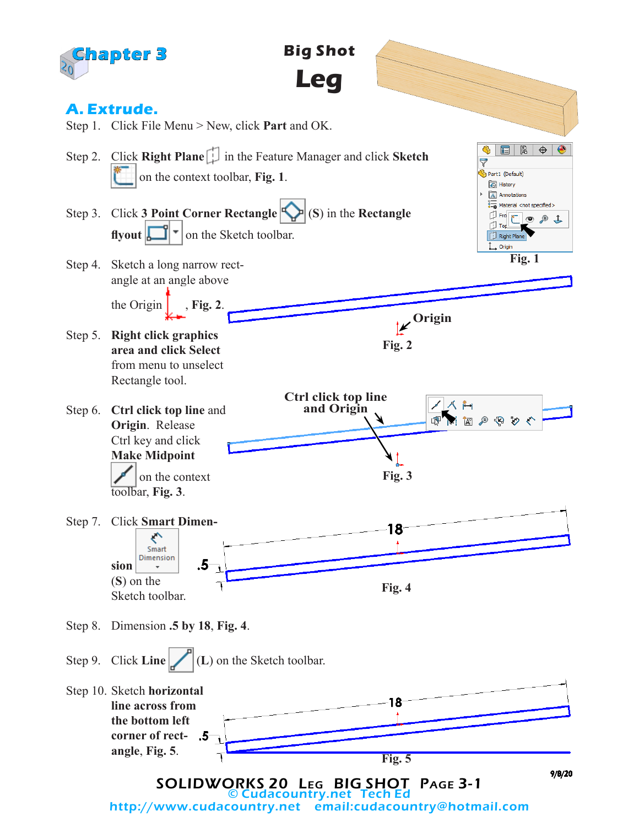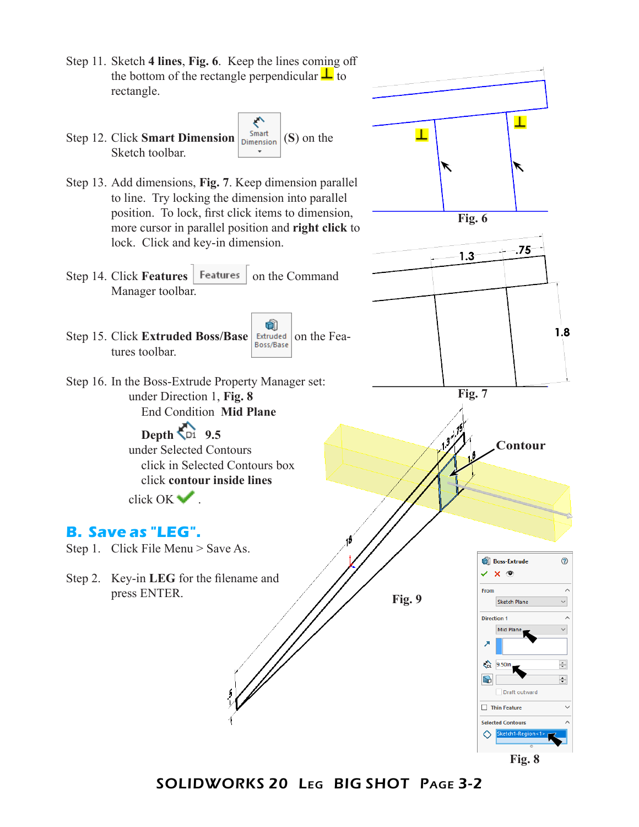

SOLIDWORKS 20 Leg BIG SHOT Page 3-2